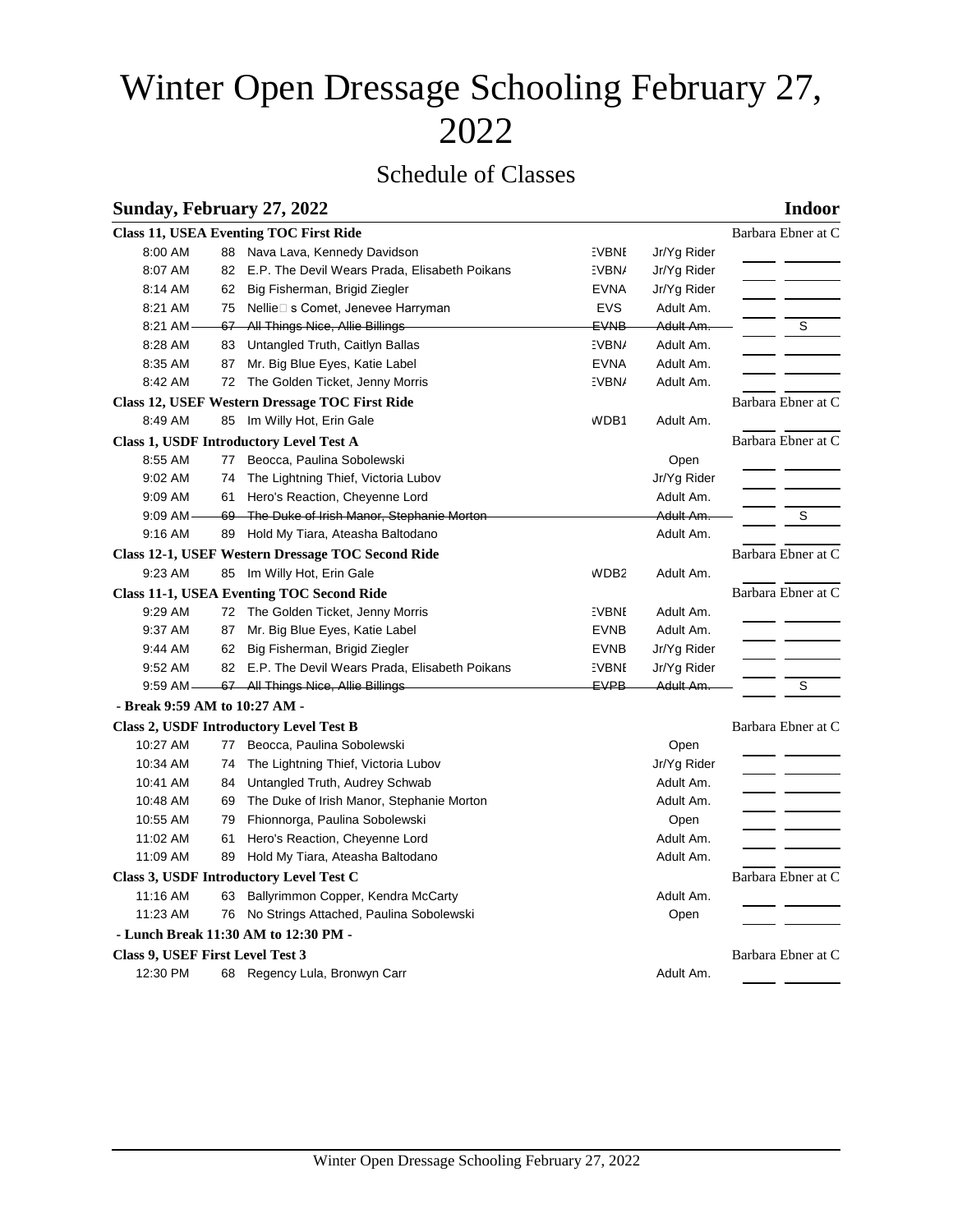# Winter Open Dressage Schooling February 27, 2022

# Schedule of Classes

### **Sunday, February 27, 2022 Indoor**

|                                                   |                    | <b>Class 11, USEA Eventing TOC First Ride</b>    |              |             | Barbara Ebner at C |
|---------------------------------------------------|--------------------|--------------------------------------------------|--------------|-------------|--------------------|
| 8:00 AM                                           | 88                 | Nava Lava, Kennedy Davidson                      | :VBNI        | Jr/Yg Rider |                    |
| 8:07 AM                                           | 82                 | E.P. The Devil Wears Prada, Elisabeth Poikans    | :VBN/        | Jr/Yg Rider |                    |
| 8:14 AM                                           | 62                 | Big Fisherman, Brigid Ziegler                    | <b>EVNA</b>  | Jr/Yg Rider |                    |
| 8:21 AM                                           |                    | 75 Nellie□ s Comet, Jenevee Harryman             | <b>EVS</b>   | Adult Am.   |                    |
| 8:21 AM                                           |                    | 67 All Things Nice, Allie Billings               | <b>EVNB</b>  | Adult Am.   | S                  |
| 8:28 AM                                           |                    | 83 Untangled Truth, Caitlyn Ballas               | :VBN/        | Adult Am.   |                    |
| 8:35 AM                                           | 87                 | Mr. Big Blue Eyes, Katie Label                   | <b>EVNA</b>  | Adult Am.   |                    |
| 8:42 AM                                           |                    | 72 The Golden Ticket, Jenny Morris               | :VBN/        | Adult Am.   |                    |
|                                                   |                    | Class 12, USEF Western Dressage TOC First Ride   |              |             | Barbara Ebner at C |
| 8:49 AM                                           |                    | 85 Im Willy Hot, Erin Gale                       | WDB1         | Adult Am.   |                    |
| Class 1, USDF Introductory Level Test A           | Barbara Ebner at C |                                                  |              |             |                    |
| 8:55 AM                                           | 77                 | Beocca, Paulina Sobolewski                       |              | Open        |                    |
| 9:02 AM                                           | 74                 | The Lightning Thief, Victoria Lubov              |              | Jr/Yg Rider |                    |
| 9:09 AM                                           |                    | 61 Hero's Reaction, Cheyenne Lord                |              | Adult Am.   |                    |
| $9:09$ AM -                                       |                    | 69 The Duke of Irish Manor, Stephanie Morton     |              | Adult Am.   | S                  |
| 9:16 AM                                           |                    | 89 Hold My Tiara, Ateasha Baltodano              |              | Adult Am.   |                    |
| Class 12-1, USEF Western Dressage TOC Second Ride | Barbara Ebner at C |                                                  |              |             |                    |
| 9:23 AM                                           |                    | 85 Im Willy Hot, Erin Gale                       | WDB2         | Adult Am.   |                    |
| <b>Class 11-1, USEA Eventing TOC Second Ride</b>  | Barbara Ebner at C |                                                  |              |             |                    |
| 9:29 AM                                           |                    | 72 The Golden Ticket, Jenny Morris               | <b>EVBNI</b> | Adult Am.   |                    |
| 9:37 AM                                           | 87                 | Mr. Big Blue Eyes, Katie Label                   | <b>EVNB</b>  | Adult Am.   |                    |
| 9:44 AM                                           |                    | 62 Big Fisherman, Brigid Ziegler                 | <b>EVNB</b>  | Jr/Yg Rider |                    |
| 9:52 AM                                           |                    | 82 E.P. The Devil Wears Prada, Elisabeth Poikans | <b>EVBNI</b> | Jr/Yg Rider |                    |
| $9:59$ AM —                                       |                    | 67 All Things Nice, Allie Billings               | <b>EVPB</b>  | Adult Am.   | S                  |
| - Break 9:59 AM to 10:27 AM -                     |                    |                                                  |              |             |                    |
| Class 2, USDF Introductory Level Test B           |                    |                                                  |              |             | Barbara Ebner at C |
| 10:27 AM                                          | 77                 | Beocca, Paulina Sobolewski                       |              | Open        |                    |
| 10:34 AM                                          | 74                 | The Lightning Thief, Victoria Lubov              |              | Jr/Yg Rider |                    |
| 10:41 AM                                          | 84                 | Untangled Truth, Audrey Schwab                   |              | Adult Am.   |                    |
| 10:48 AM                                          | 69                 | The Duke of Irish Manor, Stephanie Morton        |              | Adult Am.   |                    |
| 10:55 AM                                          | 79                 | Fhionnorga, Paulina Sobolewski                   |              | Open        |                    |
| 11:02 AM                                          | 61                 | Hero's Reaction, Cheyenne Lord                   |              | Adult Am.   |                    |
| 11:09 AM                                          | 89                 | Hold My Tiara, Ateasha Baltodano                 |              | Adult Am.   |                    |
| Class 3, USDF Introductory Level Test C           |                    | Barbara Ebner at C                               |              |             |                    |
| 11:16 AM                                          | 63                 | Ballyrimmon Copper, Kendra McCarty               |              | Adult Am.   |                    |
| 11:23 AM                                          | 76 -               | No Strings Attached, Paulina Sobolewski          |              | Open        |                    |
|                                                   |                    | - Lunch Break 11:30 AM to 12:30 PM -             |              |             |                    |
| Class 9, USEF First Level Test 3                  |                    |                                                  |              |             | Barbara Ebner at C |
| 12:30 PM                                          |                    | 68 Regency Lula, Bronwyn Carr                    |              | Adult Am.   |                    |
|                                                   |                    |                                                  |              |             |                    |